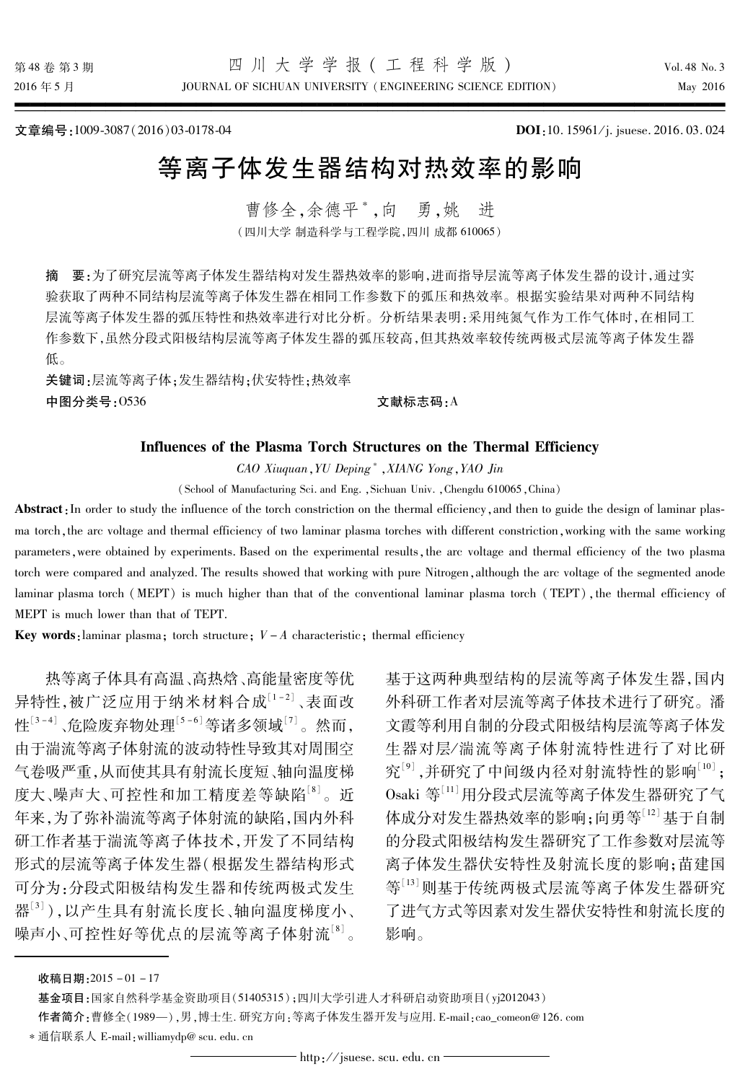JOURNAL OF SICHUAN UNIVERSITY (ENGINEERING SCIENCE EDITION)

Vol 48 No 3 May 2016

文章编号:1009-3087(2016)03-0178-04

DOI:10.15961/j. jsuese. 2016.03.024

# 等离子体发生器结构对热效率的影响

曹修全,余德平\*,向 勇,姚 讲

(四川大学 制浩科学与工程学院,四川 成都 610065)

摘 要:为了研究层流等离子体发生器结构对发生器热效率的影响,进而指导层流等离子体发生器的设计,通过实 验获取了两种不同结构层流等离子体发生器在相同工作参数下的弧压和热效率。根据实验结果对两种不同结构 层流等离子体发生器的弧压特性和热效率进行对比分析。分析结果表明:采用纯氮气作为工作气体时,在相同工 作参数下,虽然分段式阳极结构层流等离子体发生器的弧压较高,但其热效率较传统两极式层流等离子体发生器 低。

关键词:层流等离子体:发生器结构:伏安特性:热效率 中图分类号: 0536

文献标志码: A

### Influences of the Plasma Torch Structures on the Thermal Efficiency

CAO Xiuquan, YU Deping\*, XIANG Yong, YAO Jin

(School of Manufacturing Sci. and Eng. , Sichuan Univ. , Chengdu 610065, China)

Abstract: In order to study the influence of the torch constriction on the thermal efficiency, and then to guide the design of laminar plasma torch, the arc voltage and thermal efficiency of two laminar plasma torches with different constriction, working with the same working parameters, were obtained by experiments. Based on the experimental results, the arc voltage and thermal efficiency of the two plasma torch were compared and analyzed. The results showed that working with pure Nitrogen, although the arc voltage of the segmented anode laminar plasma torch (MEPT) is much higher than that of the conventional laminar plasma torch (TEPT), the thermal efficiency of MEPT is much lower than that of TEPT.

**Key words**: laminar plasma; torch structure;  $V - A$  characteristic; thermal efficiency

热等离子体具有高温、高热焓、高能量密度等优 异特性,被广泛应用于纳米材料合成[1-2]、表面改 性[3-4]、危险废弃物处理[5-6]等诸多领域[7]。然而, 由于湍流等离子体射流的波动特性导致其对周围空 气卷吸严重,从而使其具有射流长度短、轴向温度梯 度大、噪声大、可控性和加工精度差等缺陷 [8]。近 年来,为了弥补湍流等离子体射流的缺陷,国内外科 研工作者基于湍流等离子体技术,开发了不同结构 形式的层流等离子体发生器(根据发生器结构形式 可分为:分段式阳极结构发生器和传统两极式发生 器[3]),以产生具有射流长度长、轴向温度梯度小、 噪声小、可控性好等优点的层流等离子体射流[8]。

基于这两种典型结构的层流等离子体发生器,国内 外科研工作者对层流等离子体技术进行了研究。潘 文霞等利用自制的分段式阳极结构层流等离子体发 生器对层/湍流等离子体射流特性进行了对比研 究<sup>[9]</sup>,并研究了中间级内径对射流特性的影响<sup>[10]</sup>; Osaki 等[11] 用分段式层流等离子体发生器研究了气 体成分对发生器热效率的影响:向勇等[12] 基于自制 的分段式阳极结构发生器研究了工作参数对层流等 离子体发生器伏安特性及射流长度的影响;苗建国 等[13] 则基于传统两极式层流等离子体发生器研究 了讲气方式等因素对发生器伏安特性和射流长度的 影响。

\* 通信联系人 E-mail: williamydp@ scu. edu. cn

收稿日期: 2015-01-17

基金项目:国家自然科学基金资助项目(51405315);四川大学引进人才科研启动资助项目(yj2012043)

作者简介:曹修全(1989—),男,博士生.研究方向:等离子体发生器开发与应用. E-mail:cao\_comeon@126.com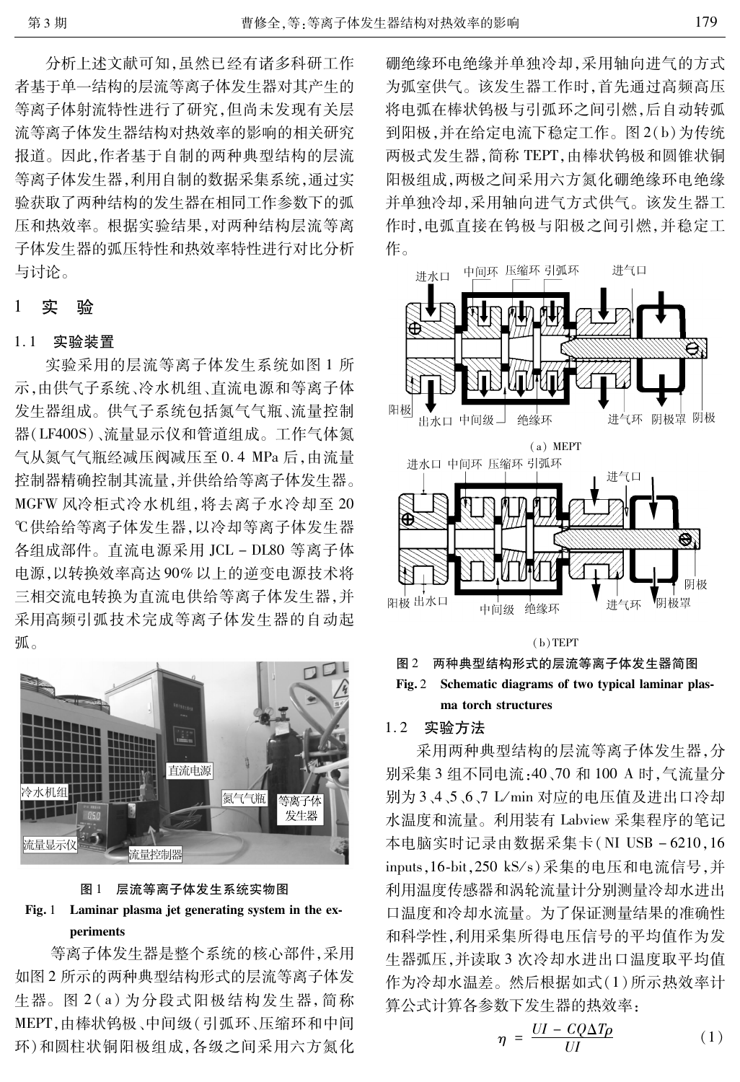分析上述文献可知,虽然已经有诸多科研工作 者基于单一结构的层流等离子体发生器对其产生的 等离子体射流特性进行了研究,但尚未发现有关层 流等离子体发生器结构对热效率的影响的相关研究 报道。因此,作者基于自制的两种典型结构的层流 等离子体发生器,利用自制的数据采集系统,通过实 验获取了两种结构的发生器在相同工作参数下的弧 压和热效率。根据实验结果,对两种结构层流等离 子体发生器的弧压特性和热效率特性进行对比分析 与讨论。

#### 实 验  $\mathbf{1}$

### 1.1 实验装置

实验采用的层流等离子体发生系统如图 1 所 示,由供气子系统、冷水机组、直流电源和等离子体 发生器组成。供气子系统包括氮气气瓶、流量控制 器(LF400S)、流量显示仪和管道组成。工作气体氮 气从氮气气瓶经减压阀减压至 0.4 MPa 后,由流量 控制器精确控制其流量,并供给给等离子体发生器。 MGFW 风冷柜式冷水机组, 将去离子水冷却至 20 ℃供给给等离子体发生器,以冷却等离子体发生器 各组成部件。直流电源采用 JCL - DL80 等离子体 电源,以转换效率高达90%以上的逆变电源技术将 三相交流电转换为直流电供给等离子体发生器,并 采用高频引弧技术完成等离子体发生器的自动起 弧。



## 图 1 层流等离子体发生系统实物图 Fig. 1 Laminar plasma jet generating system in the experiments

等离子体发生器是整个系统的核心部件,采用 如图 2 所示的两种典型结构形式的层流等离子体发 生器。图 2(a)为分段式阳极结构发生器,简称 MEPT,由棒状钨极、中间级(引弧环、压缩环和中间 环)和圆柱状铜阳极组成,各级之间采用六方氮化 硼绝缘环电绝缘并单独冷却,采用轴向进气的方式 为弧室供气。该发生器工作时,首先通过高频高压 将电弧在棒状钨极与引弧环之间引燃,后自动转弧 到阳极,并在给定电流下稳定工作。图 2(b)为传统 两极式发生器,简称 TEPT,由棒状钨极和圆锥状铜 阳极组成,两极之间采用六方氮化硼绝缘环电绝缘 并单独冷却,采用轴向进气方式供气。该发生器工 作时,电弧直接在钨极与阳极之间引燃,并稳定工 作。



两种典型结构形式的层流等离子体发生器简图 图 2

Fig. 2 Schematic diagrams of two typical laminar plasma torch structures

# 1.2 实验方法

采用两种典型结构的层流等离子体发生器,分 别采集3 组不同电流:40、70 和 100 A 时,气流量分 别为3、4、5、6、7 L/min 对应的电压值及进出口冷却 水温度和流量。利用装有 Labview 采集程序的笔记 本电脑实时记录由数据采集卡(NI USB-6210,16 inputs, 16-bit, 250 kS/s)采集的电压和电流信号, 并 利用温度传感器和涡轮流量计分别测量冷却水讲出 口温度和冷却水流量。为了保证测量结果的准确性 和科学性,利用采集所得电压信号的平均值作为发 生器弧压,并读取3次冷却水进出口温度取平均值 作为冷却水温差。然后根据如式(1)所示热效率计 算公式计算各参数下发生器的热效率:

$$
\eta = \frac{UI - CQ\Delta T\rho}{UI} \tag{1}
$$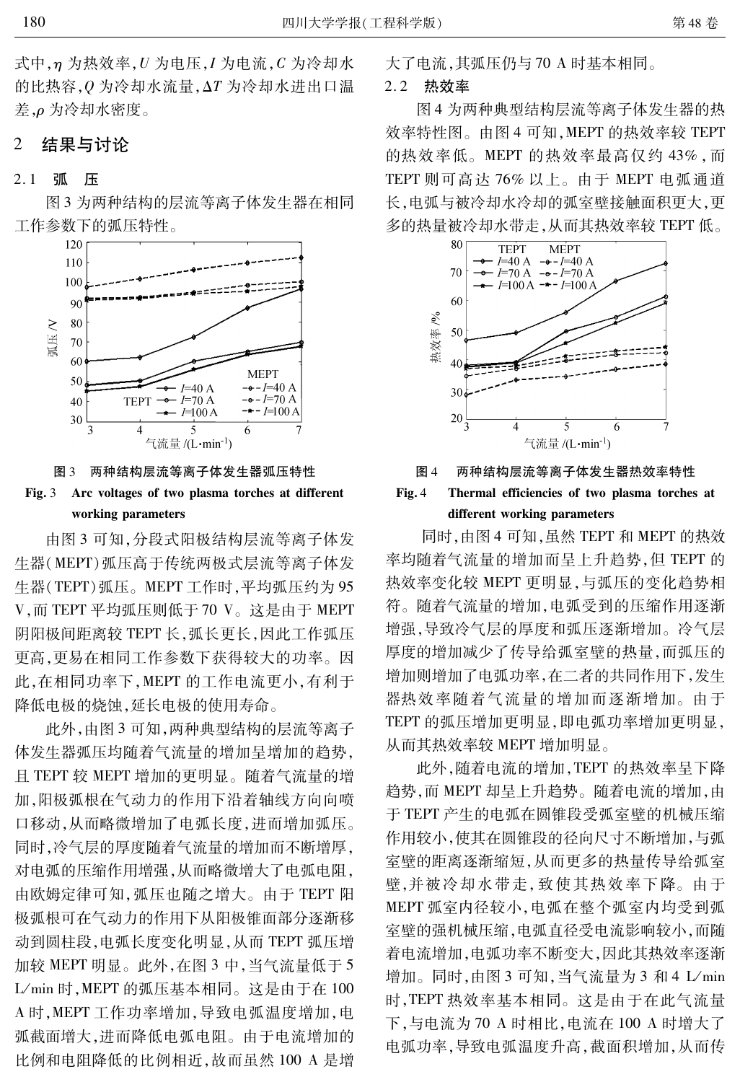式中, n 为热效率, U 为电压, I 为电流, C 为冷却水 的比热容, Ω 为冷却水流量, ΔT 为冷却水进出口温 差,ρ为冷却水密度。

### 结果与讨论 2

#### $2.1$ 弧 压

图 3 为两种结构的层流等离子体发生器在相同 工作参数下的弧压特性。



#### 两种结构层流等离子体发生器弧压特性 图 3

Fig. 3 Arc voltages of two plasma torches at different working parameters

由图 3 可知,分段式阳极结构层流等离子体发 生器(MEPT)弧压高于传统两极式层流等离子体发 生器(TEPT)弧压。MEPT工作时,平均弧压约为95 V, 而 TEPT 平均弧压则低于 70 V。这是由于 MEPT 阴阳极间距离较 TEPT 长, 弧长更长, 因此工作弧压 更高,更易在相同工作参数下获得较大的功率。因 此,在相同功率下, MEPT 的工作电流更小, 有利于 降低电极的烧蚀,延长电极的使用寿命。

此外,由图3可知,两种典型结构的层流等离子 体发生器弧压均随着气流量的增加呈增加的趋势, 且 TEPT 较 MEPT 增加的更明显。随着气流量的增 加,阳极弧根在气动力的作用下沿着轴线方向向喷 口移动,从而略微增加了电弧长度,进而增加弧压。 同时,冷气层的厚度随着气流量的增加而不断增厚, 对电弧的压缩作用增强,从而略微增大了电弧电阻, 由欧姆定律可知, 弧压也随之增大。由于 TEPT 阳 极弧根可在气动力的作用下从阳极锥面部分逐渐移 动到圆柱段,电弧长度变化明显,从而 TEPT 弧压增 加较 MEPT 明显。此外,在图 3 中,当气流量低于 5 L/min 时, MEPT 的弧压基本相同。这是由于在 100 A 时, MEPT 工作功率增加, 导致电弧温度增加, 电 弧截面增大,进而降低电弧电阻。由于电流增加的 比例和电阻降低的比例相近,故而虽然100 A 是增 大了电流,其弧压仍与70 A 时基本相同。

#### $2.2$ 热效率

图 4 为两种典型结构层流等离子体发生器的热 效率特性图。由图 4 可知, MEPT 的热效率较 TEPT 的热效率低。MEPT 的热效率最高仅约 43%,而 TEPT 则可高达 76% 以上。由于 MEPT 电弧通道 长,电弧与被冷却水冷却的弧室壁接触面积更大,更 多的热量被冷却水带走,从而其热效率较 TEPT 低。





### Fig. 4 Thermal efficiencies of two plasma torches at different working parameters

同时,由图 4 可知,虽然 TEPT 和 MEPT 的热效 率均随着气流量的增加而呈上升趋势,但TEPT的 热效率变化较 MEPT 更明显,与弧压的变化趋势相 符。随着气流量的增加,电弧受到的压缩作用逐渐 增强,导致冷气层的厚度和弧压逐渐增加。冷气层 厚度的增加减少了传导给弧室壁的热量,而弧压的 增加则增加了电弧功率,在二者的共同作用下,发生 器热效率随着气流量的增加而逐渐增加。由于 TEPT 的弧压增加更明显,即电弧功率增加更明显, 从而其热效率较 MEPT 增加明显。

此外,随着电流的增加,TEPT 的热效率呈下降 趋势,而 MEPT 却呈上升趋势。随着电流的增加,由 于 TEPT 产生的电弧在圆锥段受弧室壁的机械压缩 作用较小,使其在圆锥段的径向尺寸不断增加,与弧 室壁的距离逐渐缩短,从而更多的热量传导给弧室 壁,并被冷却水带走,致使其热效率下降。由于 MEPT 弧室内径较小, 电弧在整个弧室内均受到弧 室壁的强机械压缩,电弧直径受电流影响较小,而随 着电流增加,电弧功率不断变大,因此其热效率逐渐 增加。同时,由图3可知,当气流量为3和4L/min 时, TEPT 热效率基本相同。这是由于在此气流量 下,与电流为70 A 时相比,电流在100 A 时增大了 电弧功率,导致电弧温度升高,截面积增加,从而传